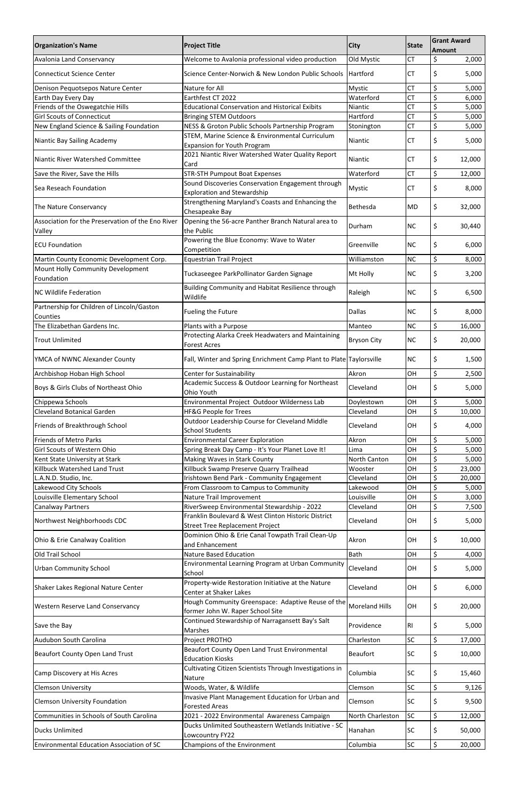| <b>Organization's Name</b>                                                  | <b>Project Title</b>                                                                          | <b>City</b>             | <b>State</b>           | <b>Grant Award</b><br><b>Amount</b> |
|-----------------------------------------------------------------------------|-----------------------------------------------------------------------------------------------|-------------------------|------------------------|-------------------------------------|
| <b>Avalonia Land Conservancy</b>                                            | Welcome to Avalonia professional video production                                             | Old Mystic              | <b>CT</b>              | \$<br>2,000                         |
| <b>Connecticut Science Center</b>                                           | Science Center-Norwich & New London Public Schools                                            | Hartford                | <b>CT</b>              | \$<br>5,000                         |
| Denison Pequotsepos Nature Center                                           | Nature for All                                                                                | <b>Mystic</b>           | <b>CT</b>              | \$<br>5,000                         |
| Earth Day Every Day                                                         | Earthfest CT 2022                                                                             | Waterford               | <b>CT</b>              | \$<br>6,000                         |
| Friends of the Oswegatchie Hills<br><b>Girl Scouts of Connecticut</b>       | <b>Educational Conservation and Historical Exibits</b><br><b>Bringing STEM Outdoors</b>       | Niantic<br>Hartford     | <b>CT</b><br><b>CT</b> | \$<br>5,000<br>\$<br>5,000          |
| New England Science & Sailing Foundation                                    | NESS & Groton Public Schools Partnership Program                                              | Stonington              | <b>CT</b>              | \$<br>5,000                         |
|                                                                             | STEM, Marine Science & Environmental Curriculum                                               |                         |                        |                                     |
| Niantic Bay Sailing Academy                                                 | <b>Expansion for Youth Program</b><br>2021 Niantic River Watershed Water Quality Report       | Niantic                 | <b>CT</b>              | \$<br>5,000                         |
| Niantic River Watershed Committee                                           | Card                                                                                          | Niantic                 | <b>CT</b>              | \$<br>12,000                        |
| Save the River, Save the Hills                                              | <b>STR-STH Pumpout Boat Expenses</b>                                                          | Waterford               | <b>CT</b>              | \$<br>12,000                        |
| Sea Reseach Foundation                                                      | Sound Discoveries Conservation Engagement through<br><b>Exploration and Stewardship</b>       | <b>Mystic</b>           | <b>CT</b>              | \$<br>8,000                         |
| The Nature Conservancy                                                      | Strengthening Maryland's Coasts and Enhancing the<br>Chesapeake Bay                           | Bethesda                | <b>MD</b>              | \$<br>32,000                        |
| Association for the Preservation of the Eno River<br>Valley                 | Opening the 56-acre Panther Branch Natural area to<br>the Public                              | Durham                  | <b>NC</b>              | \$<br>30,440                        |
| <b>ECU Foundation</b>                                                       | Powering the Blue Economy: Wave to Water<br>Competition                                       | Greenville              | <b>NC</b>              | \$<br>6,000                         |
| Martin County Economic Development Corp.                                    | <b>Equestrian Trail Project</b>                                                               | Williamston             | <b>NC</b>              | \$<br>8,000                         |
| Mount Holly Community Development                                           | Tuckaseegee ParkPollinator Garden Signage                                                     | Mt Holly                | <b>NC</b>              | \$<br>3,200                         |
| Foundation                                                                  | Building Community and Habitat Resilience through                                             |                         |                        |                                     |
| <b>NC Wildlife Federation</b><br>Partnership for Children of Lincoln/Gaston | Wildlife                                                                                      | Raleigh                 | <b>NC</b>              | \$<br>6,500                         |
| Counties                                                                    | <b>Fueling the Future</b>                                                                     | Dallas                  | <b>NC</b>              | \$<br>8,000                         |
| The Elizabethan Gardens Inc.                                                | Plants with a Purpose                                                                         | Manteo                  | <b>NC</b>              | \$<br>16,000                        |
| <b>Trout Unlimited</b>                                                      | Protecting Alarka Creek Headwaters and Maintaining<br><b>Forest Acres</b>                     | <b>Bryson City</b>      | <b>NC</b>              | \$<br>20,000                        |
| YMCA of NWNC Alexander County                                               | Fall, Winter and Spring Enrichment Camp Plant to Plate Taylorsville                           |                         | <b>NC</b>              | \$<br>1,500                         |
| Archbishop Hoban High School                                                | Center for Sustainability                                                                     | Akron                   | OH                     | \$<br>2,500                         |
| Boys & Girls Clubs of Northeast Ohio                                        | Academic Success & Outdoor Learning for Northeast<br>Ohio Youth                               | Cleveland               | 0H                     | \$<br>5,000                         |
| Chippewa Schools                                                            | Environmental Project Outdoor Wilderness Lab                                                  | Doylestown              | OH                     | \$<br>5,000                         |
| <b>Cleveland Botanical Garden</b>                                           | <b>HF&amp;G People for Trees</b>                                                              | Cleveland               | OH                     | \$<br>10,000                        |
| Friends of Breakthrough School                                              | Outdoor Leadership Course for Cleveland Middle<br><b>School Students</b>                      | Cleveland               | ΟH                     | \$<br>4,000                         |
| <b>Friends of Metro Parks</b>                                               | <b>Environmental Career Exploration</b>                                                       | Akron                   | OH                     | \$<br>5,000                         |
| Girl Scouts of Western Ohio                                                 | Spring Break Day Camp - It's Your Planet Love It!                                             | Lima                    | OH                     | \$<br>5,000<br>\$                   |
| Kent State University at Stark<br>Killbuck Watershed Land Trust             | Making Waves in Stark County<br>Killbuck Swamp Preserve Quarry Trailhead                      | North Canton<br>Wooster | OH<br>OH               | 5,000<br>\$<br>23,000               |
| L.A.N.D. Studio, Inc.                                                       | Irishtown Bend Park - Community Engagement                                                    | Cleveland               | OH                     | \$<br>20,000                        |
| Lakewood City Schools                                                       | From Classroom to Campus to Community                                                         | Lakewood                | OH                     | \$<br>5,000                         |
| Louisville Elementary School                                                | Nature Trail Improvement                                                                      | Louisville              | OH                     | \$<br>3,000                         |
| Canalway Partners                                                           | RiverSweep Environmental Stewardship - 2022                                                   | Cleveland               | OH                     | \$<br>7,500                         |
| Northwest Neighborhoods CDC                                                 | Franklin Boulevard & West Clinton Historic District<br><b>Street Tree Replacement Project</b> | Cleveland               | OH                     | \$<br>5,000                         |
| Ohio & Erie Canalway Coalition                                              | Dominion Ohio & Erie Canal Towpath Trail Clean-Up<br>and Enhancement                          | Akron                   | OH                     | \$<br>10,000                        |
| Old Trail School                                                            | <b>Nature Based Education</b>                                                                 | <b>Bath</b>             | OH                     | \$<br>4,000                         |
| <b>Urban Community School</b>                                               | Environmental Learning Program at Urban Community<br>School                                   | Cleveland               | <b>OH</b>              | \$<br>5,000                         |
| Shaker Lakes Regional Nature Center                                         | Property-wide Restoration Initiative at the Nature<br>Center at Shaker Lakes                  | Cleveland               | OH                     | \$<br>6,000                         |
| <b>Western Reserve Land Conservancy</b>                                     | Hough Community Greenspace: Adaptive Reuse of the                                             | <b>Moreland Hills</b>   | <b>OH</b>              | \$<br>20,000                        |
| Save the Bay                                                                | former John W. Raper School Site<br>Continued Stewardship of Narragansett Bay's Salt          | Providence              | R1                     | \$<br>5,000                         |
| Audubon South Carolina                                                      | Marshes<br>Project PROTHO                                                                     | Charleston              | SC                     | \$<br>17,000                        |
|                                                                             | Beaufort County Open Land Trust Environmental                                                 |                         |                        |                                     |
| <b>Beaufort County Open Land Trust</b>                                      | <b>Education Kiosks</b>                                                                       | <b>Beaufort</b>         | <b>SC</b>              | \$<br>10,000                        |
| Camp Discovery at His Acres                                                 | Cultivating Citizen Scientists Through Investigations in<br>Nature                            | Columbia                | <b>SC</b>              | \$<br>15,460                        |
| <b>Clemson University</b>                                                   | Woods, Water, & Wildlife                                                                      | Clemson                 | SC                     | \$<br>9,126                         |
| <b>Clemson University Foundation</b>                                        | Invasive Plant Management Education for Urban and<br><b>Forested Areas</b>                    | Clemson                 | <b>SC</b>              | \$<br>9,500                         |
| Communities in Schools of South Carolina                                    | 2021 - 2022 Environmental Awareness Campaign                                                  | North Charleston        | SC                     | \$<br>12,000                        |
| <b>Ducks Unlimited</b>                                                      | Ducks Unlimited Southeastern Wetlands Initiative - SC<br>Lowcountry FY22                      | Hanahan                 | <b>SC</b>              | \$<br>50,000                        |
| <b>Environmental Education Association of SC</b>                            | Champions of the Environment                                                                  | Columbia                | SC                     | \$<br>20,000                        |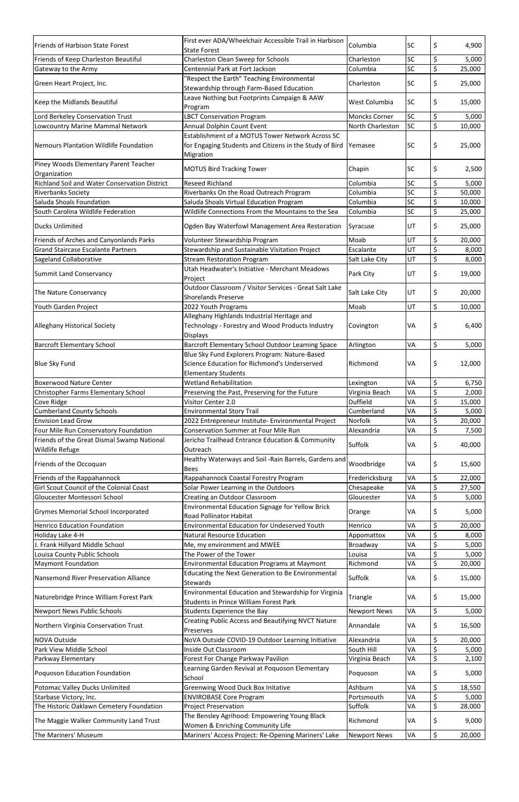| <b>Friends of Harbison State Forest</b>               | First ever ADA/Wheelchair Accessible Trail in Harbison<br><b>State Forest</b>        | Columbia             | <b>SC</b> | \$       | 4,900  |
|-------------------------------------------------------|--------------------------------------------------------------------------------------|----------------------|-----------|----------|--------|
| Friends of Keep Charleston Beautiful                  | Charleston Clean Sweep for Schools                                                   | Charleston           | <b>SC</b> | \$       | 5,000  |
| Gateway to the Army                                   | Centennial Park at Fort Jackson                                                      | Columbia             | SC        | \$       | 25,000 |
|                                                       | 'Respect the Earth" Teaching Environmental                                           |                      |           |          |        |
| Green Heart Project, Inc.                             | Stewardship through Farm-Based Education                                             | Charleston           | SC        | \$       | 25,000 |
| Keep the Midlands Beautiful                           | Leave Nothing but Footprints Campaign & AAW<br>Program                               | West Columbia        | <b>SC</b> | \$       | 15,000 |
| Lord Berkeley Conservation Trust                      | <b>LBCT Conservation Program</b>                                                     | <b>Moncks Corner</b> | <b>SC</b> | \$       | 5,000  |
| Lowcountry Marine Mammal Network                      | Annual Dolphin Count Event                                                           | North Charleston     | SC        | \$       | 10,000 |
|                                                       | Establishment of a MOTUS Tower Network Across SC                                     |                      |           |          |        |
| Nemours Plantation Wildlife Foundation                | for Engaging Students and Citizens in the Study of Bird<br>Migration                 | Yemasee              | <b>SC</b> | \$       | 25,000 |
| Piney Woods Elementary Parent Teacher<br>Organization | <b>MOTUS Bird Tracking Tower</b>                                                     | Chapin               | <b>SC</b> | \$       | 2,500  |
| <b>Richland Soil and Water Conservation District</b>  | <b>Reseed Richland</b>                                                               | Columbia             | <b>SC</b> | \$       | 5,000  |
| <b>Riverbanks Society</b>                             | Riverbanks On the Road Outreach Program                                              | Columbia             | SC        | \$       | 50,000 |
| Saluda Shoals Foundation                              | Saluda Shoals Virtual Education Program                                              | Columbia             | SC        | \$       | 10,000 |
| South Carolina Wildlife Federation                    | Wildlife Connections From the Mountains to the Sea                                   | Columbia             | SC        | \$       | 25,000 |
| <b>Ducks Unlimited</b>                                | Ogden Bay Waterfowl Management Area Restoration                                      | Syracuse             | UT        | \$       | 25,000 |
| Friends of Arches and Canyonlands Parks               | Volunteer Stewardship Program                                                        | Moab                 | UT        | \$       | 20,000 |
| <b>Grand Staircase Escalante Partners</b>             | Stewardship and Sustainable Visitation Project                                       | Escalante            | UT        | \$       | 8,000  |
| Sageland Collaborative                                | <b>Stream Restoration Program</b>                                                    | Salt Lake City       | UT        | \$       | 8,000  |
|                                                       | Utah Headwater's Initiative - Merchant Meadows                                       |                      |           |          |        |
| <b>Summit Land Conservancy</b>                        | Project<br>Outdoor Classroom / Visitor Services - Great Salt Lake                    | Park City            | UT        | \$       | 19,000 |
| The Nature Conservancy                                | <b>Shorelands Preserve</b>                                                           | Salt Lake City       | UT        | \$       | 20,000 |
| Youth Garden Project                                  | 2022 Youth Programs                                                                  | Moab                 | UT        | \$       | 10,000 |
|                                                       | Alleghany Highlands Industrial Heritage and                                          |                      |           |          |        |
| <b>Alleghany Historical Society</b>                   | Technology - Forestry and Wood Products Industry<br><b>Displays</b>                  | Covington            | <b>VA</b> | Ś.       | 6,400  |
| <b>Barcroft Elementary School</b>                     | Barcroft Elementary School Outdoor Learning Space                                    | Arlington            | VA        | \$       | 5,000  |
|                                                       | Blue Sky Fund Explorers Program: Nature-Based                                        |                      |           |          |        |
| <b>Blue Sky Fund</b>                                  | Science Education for Richmond's Underserved<br><b>Elementary Students</b>           | Richmond             | VA        | \$       | 12,000 |
| <b>Boxerwood Nature Center</b>                        | <b>Wetland Rehabilitation</b>                                                        | Lexington            | VA        | \$       | 6,750  |
| Christopher Farms Elementary School                   | Preserving the Past, Preserving for the Future                                       | Virginia Beach       | VA        | \$       | 2,000  |
| Cove Ridge                                            | Visitor Center 2.0                                                                   | <b>Duffield</b>      | VA        | \$       | 15,000 |
| <b>Cumberland County Schools</b>                      | <b>Environmental Story Trail</b>                                                     | Cumberland           | VA        | \$       | 5,000  |
| <b>Envision Lead Grow</b>                             | 2022 Entrepreneur Institute- Environmental Project                                   | Norfolk              | VA        | \$       | 20,000 |
| Four Mile Run Conservatory Foundation                 | <b>Conservation Summer at Four Mile Run</b>                                          | Alexandria           | VA        | \$       | 7,500  |
| Friends of the Great Dismal Swamp National            | Jericho Trailhead Entrance Education & Community                                     |                      |           |          |        |
| Wildlife Refuge                                       | Outreach                                                                             | Suffolk              | VA        | \$       | 40,000 |
| Friends of the Occoquan                               | Healthy Waterways and Soil -Rain Barrels, Gardens and<br><b>Bees</b>                 | Woodbridge           | VA        | \$       | 15,600 |
| Friends of the Rappahannock                           | Rappahannock Coastal Forestry Program                                                | Fredericksburg       | VA        | \$       | 22,000 |
| Girl Scout Council of the Colonial Coast              | Solar Power Learning in the Outdoors                                                 | Chesapeake           | VA        | \$       | 27,500 |
| Gloucester Montessori School                          | Creating an Outdoor Classroom                                                        | Gloucester           | VA        | \$       | 5,000  |
| <b>Grymes Memorial School Incorporated</b>            | Environmental Education Signage for Yellow Brick<br><b>Road Pollinator Habitat</b>   | Orange               | VA        | \$       | 5,000  |
| <b>Henrico Education Foundation</b>                   | <b>Environmental Education for Undeserved Youth</b>                                  | Henrico              | VA        | \$       | 20,000 |
| Holiday Lake 4-H                                      | <b>Natural Resource Education</b>                                                    | Appomattox           | VA        | \$       | 8,000  |
| J. Frank Hillyard Middle School                       | Me, my environment and MWEE                                                          | Broadway             | VA        | \$       | 5,000  |
| Louisa County Public Schools                          | The Power of the Tower                                                               | Louisa               | VA        | \$       | 5,000  |
| <b>Maymont Foundation</b>                             | <b>Environmental Education Programs at Maymont</b>                                   | Richmond             | VA        | \$       | 20,000 |
| Nansemond River Preservation Alliance                 | Educating the Next Generation to Be Environmental<br><b>Stewards</b>                 | Suffolk              | VA        | \$       | 15,000 |
| Naturebridge Prince William Forest Park               | Environmental Education and Stewardship for Virginia                                 | Triangle             | VA        | \$       | 15,000 |
| <b>Newport News Public Schools</b>                    | <b>Students in Prince William Forest Park</b><br>Students Experience the Bay         | <b>Newport News</b>  | VA        | \$       | 5,000  |
|                                                       | <b>Creating Public Access and Beautifying NVCT Nature</b>                            |                      |           |          |        |
| Northern Virginia Conservation Trust                  | Preserves                                                                            | Annandale            | VA        | \$       | 16,500 |
| <b>NOVA Outside</b>                                   | NoVA Outside COVID-19 Outdoor Learning Initiative<br><b>Inside Out Classroom</b>     | Alexandria           | VA        | \$       | 20,000 |
| Park View Middle School                               |                                                                                      | South Hill           | VA        | \$<br>\$ | 5,000  |
| Parkway Elementary                                    | Forest For Change Parkway Pavilion<br>Learning Garden Revival at Poquoson Elementary | Virginia Beach       | VA        |          | 2,100  |
| Poquoson Education Foundation                         | School                                                                               | Poquoson             | VA        | \$       | 5,000  |
| Potomac Valley Ducks Unlimited                        | <b>Greenwing Wood Duck Box Initative</b>                                             | Ashburn              | VA        | \$       | 18,550 |
| Starbase Victory, Inc.                                | <b>ENVIROBASE Core Program</b>                                                       | Portsmouth           | VA        | \$       | 5,000  |
| The Historic Oaklawn Cemetery Foundation              | <b>Project Preservation</b>                                                          | Suffolk              | VA        | \$       | 28,000 |
| The Maggie Walker Community Land Trust                | The Bensley Agrihood: Empowering Young Black<br>Women & Enriching Community Life     | Richmond             | VA        | \$       | 9,000  |
| The Mariners' Museum                                  | Mariners' Access Project: Re-Opening Mariners' Lake                                  | <b>Newport News</b>  | VA        | \$       | 20,000 |